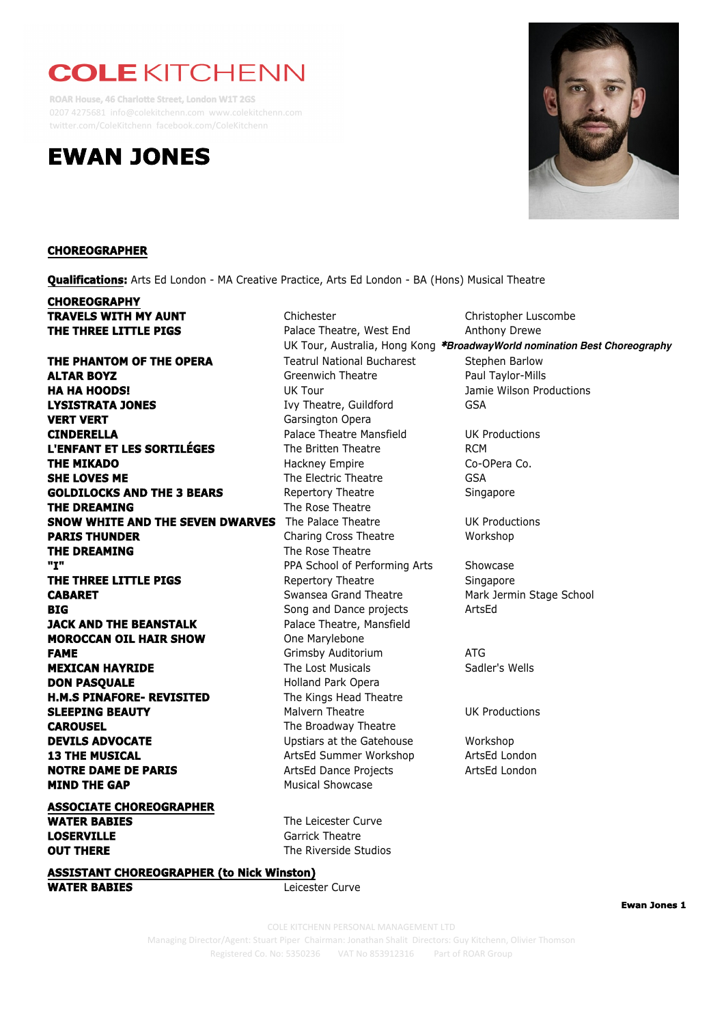## **COLE KITCHENN**

**ROAR House, 46 Charlotte Street, London W1T 2GS** 0207 4275681 info@colekitchenn.com www.colekitchenn.com twitter.com/ColeKitchenn facebook.com/ColeKitchenn





**Ewan Jones 1**

Managing Director/Agent: Stuart Piper Chairman: Jonathan Shalit Directors: Guy Kitchenn, Olivier Thomson<br> **Managing** Director/Agent: Stuart Piper Chairman: Jonathan Shalit Directors: Guy Kitchenn, Olivier Thomson Registered Co. No: 5350236 VAT No 853912316 Part of ROAR Group COLE KITCHENN PERSONAL MANAGEMENT LTD